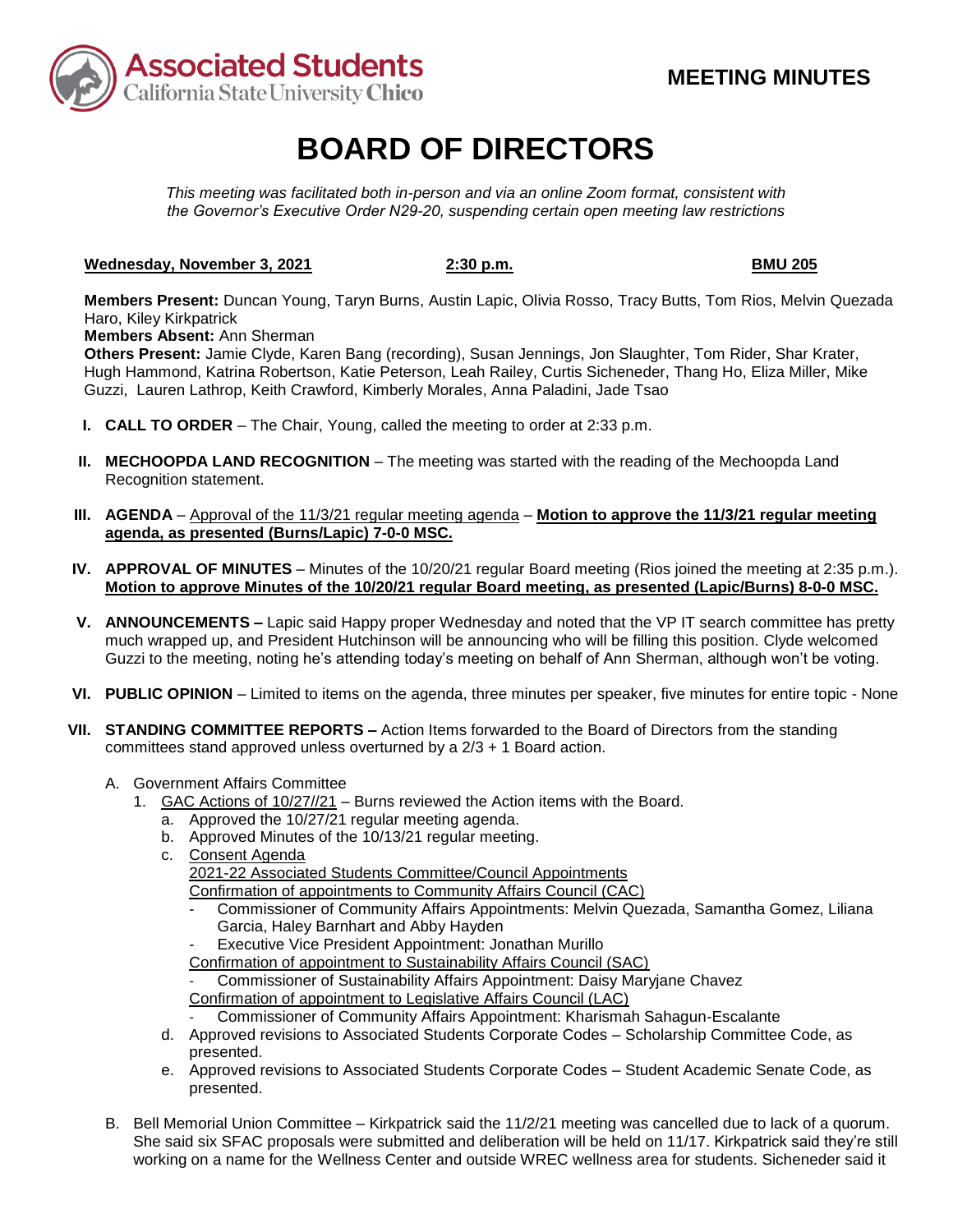

# **BOARD OF DIRECTORS**

*This meeting was facilitated both in-person and via an online Zoom format, consistent with the Governor's Executive Order N29-20, suspending certain open meeting law restrictions* 

### Wednesday, November 3, 2021 **2:30 p.m. 2:30 p.m. BMU 205**

**Members Present:** Duncan Young, Taryn Burns, Austin Lapic, Olivia Rosso, Tracy Butts, Tom Rios, Melvin Quezada Haro, Kiley Kirkpatrick

**Members Absent:** Ann Sherman

Others Present: Jamie Clyde, Karen Bang (recording), Susan Jennings, Jon Slaughter, Tom Rider, Shar Krater, Hugh Hammond, Katrina Robertson, Katie Peterson, Leah Railey, Curtis Sicheneder, Thang Ho, Eliza Miller, Mike Guzzi, Lauren Lathrop, Keith Crawford, Kimberly Morales, Anna Paladini, Jade Tsao

- **I. CALL TO ORDER**  The Chair, Young, called the meeting to order at 2:33 p.m.
- **II. MECHOOPDA LAND RECOGNITION** The meeting was started with the reading of the Mechoopda Land Recognition statement.
- **III. AGENDA**  Approval of the 11/3/21 regular meeting agenda **Motion to approve the 11/3/21 regular meeting agenda, as presented (Burns/Lapic) 7-0-0 MSC.**
- **IV. APPROVAL OF MINUTES**  Minutes of the 10/20/21 regular Board meeting (Rios joined the meeting at 2:35 p.m.). **Motion to approve Minutes of the 10/20/21 regular Board meeting, as presented (Lapic/Burns) 8-0-0 MSC.**
- **V. ANNOUNCEMENTS –** Lapic said Happy proper Wednesday and noted that the VP IT search committee has pretty much wrapped up, and President Hutchinson will be announcing who will be filling this position. Clyde welcomed Guzzi to the meeting, noting he's attending today's meeting on behalf of Ann Sherman, although won't be voting.
- **VI. PUBLIC OPINION**  Limited to items on the agenda, three minutes per speaker, five minutes for entire topic None
- **VII. STANDING COMMITTEE REPORTS –** Action Items forwarded to the Board of Directors from the standing committees stand approved unless overturned by a 2/3 + 1 Board action.
	- A. Government Affairs Committee
		- 1. GAC Actions of 10/27//21 Burns reviewed the Action items with the Board.
			- a. Approved the 10/27/21 regular meeting agenda.
			- b. Approved Minutes of the 10/13/21 regular meeting.
			- c. Consent Agenda

2021-22 Associated Students Committee/Council Appointments

- Confirmation of appointments to Community Affairs Council (CAC)
	- Commissioner of Community Affairs Appointments: Melvin Quezada, Samantha Gomez, Liliana Garcia, Haley Barnhart and Abby Hayden
- Executive Vice President Appointment: Jonathan Murillo
- Confirmation of appointment to Sustainability Affairs Council (SAC)
- Commissioner of Sustainability Affairs Appointment: Daisy Maryjane Chavez
- Confirmation of appointment to Legislative Affairs Council (LAC)
	- Commissioner of Community Affairs Appointment: Kharismah Sahagun-Escalante
- d. Approved revisions to Associated Students Corporate Codes Scholarship Committee Code, as presented.
- e. Approved revisions to Associated Students Corporate Codes Student Academic Senate Code, as presented.
- B. Bell Memorial Union Committee Kirkpatrick said the 11/2/21 meeting was cancelled due to lack of a quorum. She said six SFAC proposals were submitted and deliberation will be held on 11/17. Kirkpatrick said they're still working on a name for the Wellness Center and outside WREC wellness area for students. Sicheneder said it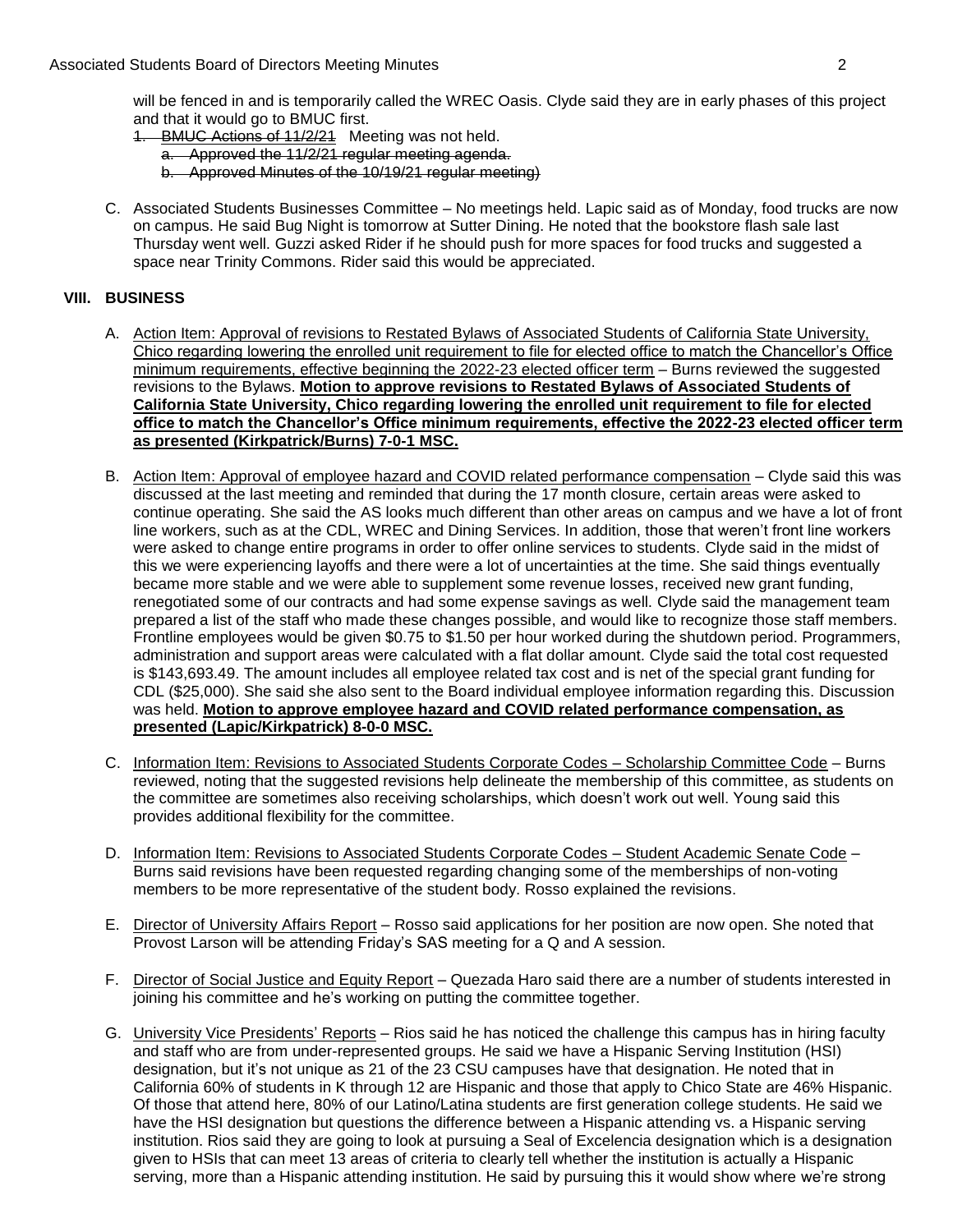will be fenced in and is temporarily called the WREC Oasis. Clyde said they are in early phases of this project and that it would go to BMUC first.

- 1. BMUC Actions of 11/2/21 Meeting was not held.
	- a. Approved the 11/2/21 regular meeting agenda.
	- b. Approved Minutes of the 10/19/21 regular meeting)
- C. Associated Students Businesses Committee No meetings held. Lapic said as of Monday, food trucks are now on campus. He said Bug Night is tomorrow at Sutter Dining. He noted that the bookstore flash sale last Thursday went well. Guzzi asked Rider if he should push for more spaces for food trucks and suggested a space near Trinity Commons. Rider said this would be appreciated.

### **VIII. BUSINESS**

- A. Action Item: Approval of revisions to Restated Bylaws of Associated Students of California State University, Chico regarding lowering the enrolled unit requirement to file for elected office to match the Chancellor's Office minimum requirements, effective beginning the 2022-23 elected officer term – Burns reviewed the suggested revisions to the Bylaws. **Motion to approve revisions to Restated Bylaws of Associated Students of California State University, Chico regarding lowering the enrolled unit requirement to file for elected office to match the Chancellor's Office minimum requirements, effective the 2022-23 elected officer term as presented (Kirkpatrick/Burns) 7-0-1 MSC.**
- B. Action Item: Approval of employee hazard and COVID related performance compensation Clyde said this was discussed at the last meeting and reminded that during the 17 month closure, certain areas were asked to line workers, such as at the CDL, WREC and Dining Services. In addition, those that weren't front line workers this we were experiencing layoffs and there were a lot of uncertainties at the time. She said things eventually renegotiated some of our contracts and had some expense savings as well. Clyde said the management team prepared a list of the staff who made these changes possible, and would like to recognize those staff members. Frontline employees would be given \$0.75 to \$1.50 per hour worked during the shutdown period. Programmers,  was held. **Motion to approve employee hazard and COVID related performance compensation, as**  continue operating. She said the AS looks much different than other areas on campus and we have a lot of front were asked to change entire programs in order to offer online services to students. Clyde said in the midst of became more stable and we were able to supplement some revenue losses, received new grant funding, administration and support areas were calculated with a flat dollar amount. Clyde said the total cost requested is [\\$143,693.49](https://143,693.49). The amount includes all employee related tax cost and is net of the special grant funding for CDL (\$25,000). She said she also sent to the Board individual employee information regarding this. Discussion **presented (Lapic/Kirkpatrick) 8-0-0 MSC.**
- C. Information Item: Revisions to Associated Students Corporate Codes Scholarship Committee Code Burns reviewed, noting that the suggested revisions help delineate the membership of this committee, as students on the committee are sometimes also receiving scholarships, which doesn't work out well. Young said this provides additional flexibility for the committee.
- D. Information Item: Revisions to Associated Students Corporate Codes Student Academic Senate Code -Burns said revisions have been requested regarding changing some of the memberships of non-voting members to be more representative of the student body. Rosso explained the revisions.
- E. Director of University Affairs Report Rosso said applications for her position are now open. She noted that Provost Larson will be attending Friday's SAS meeting for a Q and A session.
- F. Director of Social Justice and Equity Report Quezada Haro said there are a number of students interested in joining his committee and he's working on putting the committee together.
- G. University Vice Presidents' Reports Rios said he has noticed the challenge this campus has in hiring faculty and staff who are from under-represented groups. He said we have a Hispanic Serving Institution (HSI) designation, but it's not unique as 21 of the 23 CSU campuses have that designation. He noted that in California 60% of students in K through 12 are Hispanic and those that apply to Chico State are 46% Hispanic. Of those that attend here, 80% of our Latino/Latina students are first generation college students. He said we have the HSI designation but questions the difference between a Hispanic attending vs. a Hispanic serving institution. Rios said they are going to look at pursuing a Seal of Excelencia designation which is a designation given to HSIs that can meet 13 areas of criteria to clearly tell whether the institution is actually a Hispanic serving, more than a Hispanic attending institution. He said by pursuing this it would show where we're strong